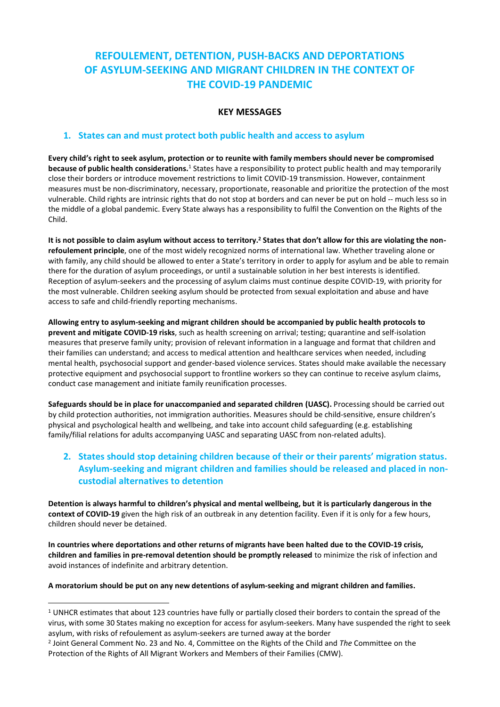# **REFOULEMENT, DETENTION, PUSH-BACKS AND DEPORTATIONS OF ASYLUM-SEEKING AND MIGRANT CHILDREN IN THE CONTEXT OF THE COVID-19 PANDEMIC**

### **KEY MESSAGES**

### **1. States can and must protect both public health and access to asylum**

**Every child's right to seek asylum, protection or to reunite with family members should never be compromised because of public health considerations.**<sup>1</sup> States have a responsibility to protect public health and may temporarily close their borders or introduce movement restrictions to limit COVID-19 transmission. However, containment measures must be non-discriminatory, necessary, proportionate, reasonable and prioritize the protection of the most vulnerable. Child rights are intrinsic rights that do not stop at borders and can never be put on hold -- much less so in the middle of a global pandemic. Every State always has a responsibility to fulfil the Convention on the Rights of the Child.

**It is not possible to claim asylum without access to territory.<sup>2</sup> States that don't allow for this are violating the nonrefoulement principle**, one of the most widely recognized norms of international law. Whether traveling alone or with family, any child should be allowed to enter a State's territory in order to apply for asylum and be able to remain there for the duration of asylum proceedings, or until a sustainable solution in her best interests is identified. Reception of asylum-seekers and the processing of asylum claims must continue despite COVID-19, with priority for the most vulnerable. Children seeking asylum should be protected from sexual exploitation and abuse and have access to safe and child-friendly reporting mechanisms.

**Allowing entry to asylum-seeking and migrant children should be accompanied by public health protocols to prevent and mitigate COVID-19 risks**, such as health screening on arrival; testing; quarantine and self-isolation measures that preserve family unity; provision of relevant information in a language and format that children and their families can understand; and access to medical attention and healthcare services when needed, including mental health, psychosocial support and gender-based violence services. States should make available the necessary protective equipment and psychosocial support to frontline workers so they can continue to receive asylum claims, conduct case management and initiate family reunification processes.

**Safeguards should be in place for unaccompanied and separated children (UASC).** Processing should be carried out by child protection authorities, not immigration authorities. Measures should be child-sensitive, ensure children's physical and psychological health and wellbeing, and take into account child safeguarding (e.g. establishing family/filial relations for adults accompanying UASC and separating UASC from non-related adults).

# **2. States should stop detaining children because of their or their parents' migration status. Asylum-seeking and migrant children and families should be released and placed in noncustodial alternatives to detention**

**Detention is always harmful to children's physical and mental wellbeing, but it is particularly dangerous in the context of COVID-19** given the high risk of an outbreak in any detention facility. Even if it is only for a few hours, children should never be detained.

**In countries where deportations and other returns of migrants have been halted due to the COVID-19 crisis, children and families in pre-removal detention should be promptly released** to minimize the risk of infection and avoid instances of indefinite and arbitrary detention.

**A moratorium should be put on any new detentions of asylum-seeking and migrant children and families.**

 $1$  UNHCR estimates that about 123 countries have fully or partially closed their borders to contain the spread of the virus, with some 30 States making no exception for access for asylum-seekers. Many have suspended the right to seek asylum, with risks of refoulement as asylum-seekers are turned away at the border

<sup>2</sup> Joint General Comment No. 23 and No. 4, Committee on the Rights of the Child and *The* Committee on the Protection of the Rights of All Migrant Workers and Members of their Families (CMW).